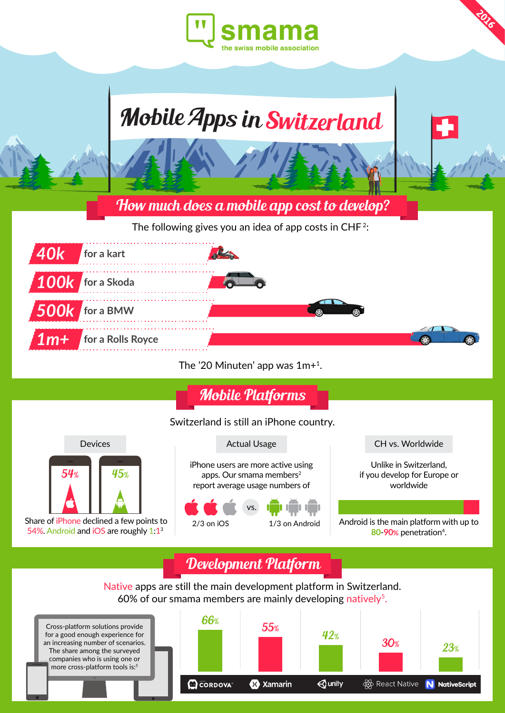



The '20 Minuten' app was 1m+1.

Mobile Platforms

### Switzerland is still an iPhone country.



 Share of iPhone declined a few points to 54%. Android and iOS are roughly 1:1<sup>3</sup>

iPhone users are more active using apps. Our smama members $2$ report average usage numbers of



1/3 on Android

CH vs. Worldwide

**2016**

Unlike in Switzerland, if you develop for Europe or worldwide

Android is the main platform with up to 80-90% penetration<sup>4</sup>.

## Development Platform

Native apps are still the main development platform in Switzerland. 60% of our smama members are mainly developing natively<sup>5</sup>.

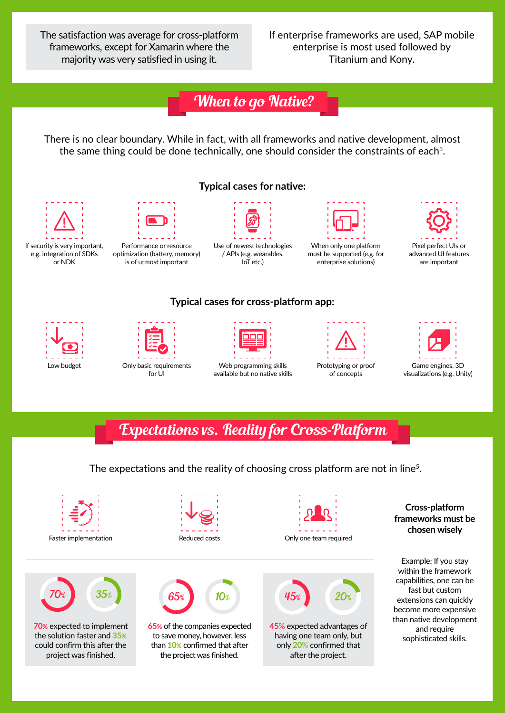The satisfaction was average for cross-platform frameworks, except for Xamarin where the majority was very satisfied in using it.

If enterprise frameworks are used, SAP mobile enterprise is most used followed by Titanium and Kony.